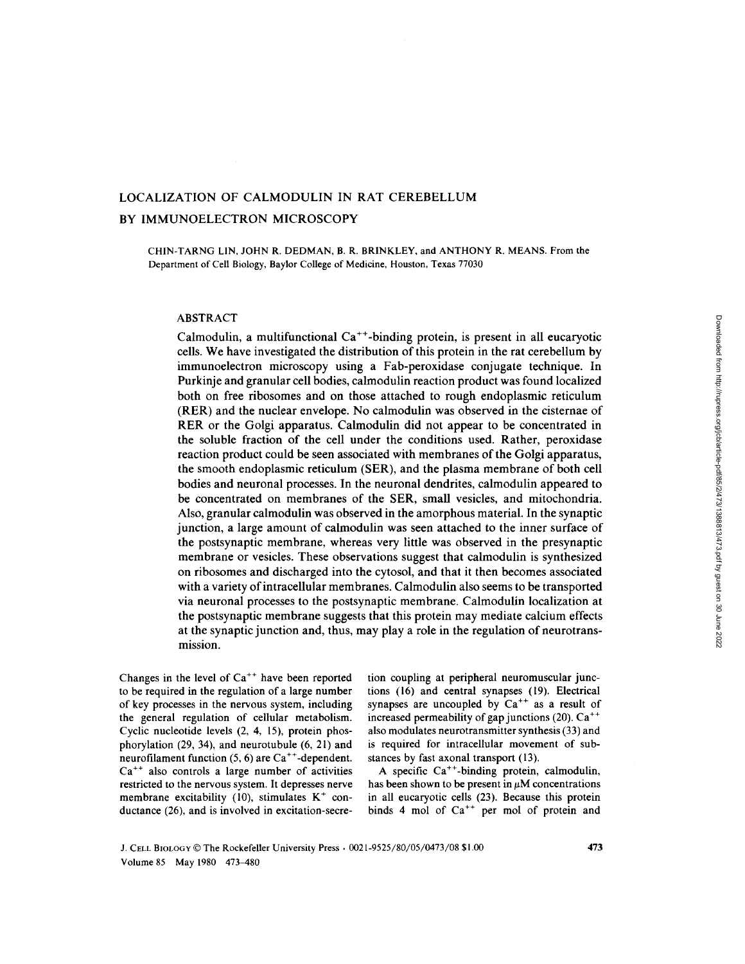# LOCALIZATION OF CALMODULIN IN RAT CEREBELLUM BY IMMUNOELECTRON MICROSCOPY

CHIN-TARNG LIN, JOHN R. DEDMAN, <sup>B</sup> . R. BRINKLEY, and ANTHONY R. MEANS. From the Department of Cell Biology, Baylor College of Medicine, Houston, Texas 77030

## ABSTRACT

Calmodulin, a multifunctional  $Ca^{++}$ -binding protein, is present in all eucaryotic cells. We have investigated the distribution ofthis protein in the rat cerebellum by immunoelectron microscopy using a Fab-peroxidase conjugate technique. In Purkinje and granular cell bodies, calmodulin reaction product was found localized both on free ribosomes and on those attached to rough endoplasmic reticulum (RER) and the nuclear envelope . No calmodulin was observed in the cisternae of RER or the Golgi apparatus. Calmodulin did not appear to be concentrated in the soluble fraction of the cell under the conditions used. Rather, peroxidase reaction product could be seen associated with membranes of the Golgi apparatus, the smooth endoplasmic reticulum (SER), and the plasma membrane of both cell bodies and neuronal processes . In the neuronal dendrites, calmodulin appeared to be concentrated on membranes of the SER, small vesicles, and mitochondria. Also, granular calmodulin was observed in the amorphous material . In the synaptic junction, a large amount of calmodulin was seen attached to the inner surface of the postsynaptic membrane, whereas very little was observed in the presynaptic membrane or vesicles. These observations suggest that calmodulin is synthesized on ribosomes and discharged into the cytosol, and that it then becomes associated with a variety of intracellular membranes . Calmodulin also seems to be transported via neuronal processes to the postsynaptic membrane. Calmodulin localization at the postsynaptic membrane suggests that this protein may mediate calcium effects at the synaptic junction and, thus, may play a role in the regulation of neurotransmission.

Changes in the level of  $Ca^{++}$  have been reported to be required in the regulation of a large number of key processes in the nervous system, including the general regulation of cellular metabolism. Cyclic nucleotide levels (2, 4, 15), protein phosphorylation (29, 34), and neurotubule (6, 21) and neurofilament function  $(5, 6)$  are Ca<sup>++</sup>-dependent.  $Ca^{++}$  also controls a large number of activities restricted to the nervous system . It depresses nerve membrane excitability (10), stimulates  $K^+$  conductance (26), and is involved in excitation-secretion coupling at peripheral neuromuscular junctions (16) and central synapses (19) . Electrical synapses are uncoupled by  $Ca^{++}$  as a result of increased permeability of gap junctions (20).  $Ca^{++}$ also modulates neurotransmitter synthesis (33) and is required for intracellular movement of substances by fast axonal transport (13).

A specific  $Ca^{++}$ -binding protein, calmodulin, has been shown to be present in  $\mu$ M concentrations in all eucaryotic cells (23). Because this protein binds 4 mol of  $Ca^{++}$  per mol of protein and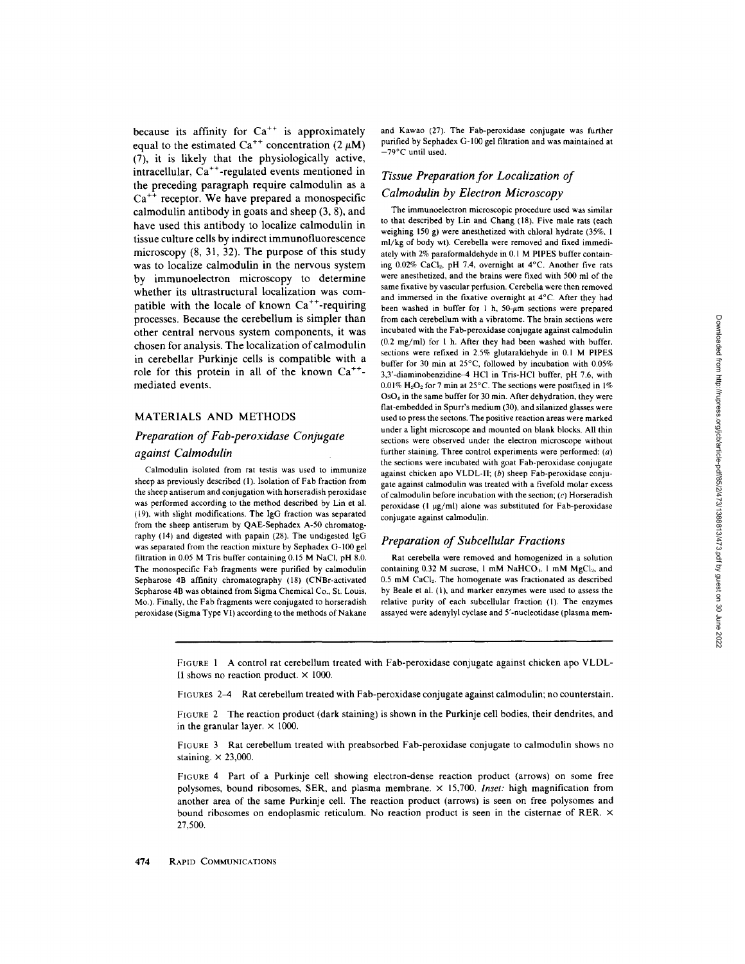because its affinity for  $Ca^{++}$  is approximately equal to the estimated  $Ca^{++}$  concentration (2  $\mu$ M) (7), it is likely that the physiologically active, intracellular,  $Ca^{++}$ -regulated events mentioned in the preceding paragraph require calmodulin as a  $Ca^{++}$  receptor. We have prepared a monospecific calmodulin antibody in goats and sheep (3, 8), and have used this antibody to localize calmodulin in tissue culture cells by indirect immunofluorescence microscopy (8, 31, 32). The purpose of this study was to localize calmodulin in the nervous system by immunoelectron microscopy to determine whether its ultrastructural localization was compatible with the locale of known  $Ca^{++}$ -requiring processes. Because the cerebellum is simpler than other central nervous system components, it was chosen for analysis . The localization of calmodulin in cerebellar Purkinje cells is compatible with a role for this protein in all of the known  $Ca^{++}$ mediated events.

# MATERIALS AND METHODS

# Preparation of Fab-peroxidase Conjugate

#### against Calmodulin

Calmodulin isolated from rat testis was used to immunize sheep as previously described (1). Isolation of Fab fraction from the sheep antiserum and conjugation with horseradish peroxidase was performed according to the method described by Lin et al. (19), with slight modifications . The IgG fraction was separated from the sheep antiserum by QAE-Sephadex A-50 chromatography (14) and digested with papain (28) . The undigested IgG was separated from the reaction mixture by Sephadex G-100 gel filtration in 0.05 M Tris buffer containing 0.15 M NaCl, pH 8.0 The monospecific Fab fragments were purified by calmodulin Sepharose 4B affinity chromatography (l8) (CNBr-activated Sepharose 4B was obtained from Sigma Chemical Co., St. Louis, Mo.) . Finally, the Fab fragments were conjugated to horseradish peroxidase (Sigma Type VI) according to the methods of Nakane and Kawao (27). The Fab-peroxidase conjugate was further purified by Sephadex G-100 gel filtration and was maintained at  $-79^{\circ}$ C until used.

# Tissue Preparation for Localization of Calmodulin by Electron Microscopy

The immunoelectron microscopic procedure used was similar to that described by Lin and Chang (18) . Five male rats (each weighing 150 g) were anesthetized with chloral hydrate (35%, <sup>I</sup> ml/kg of body wt) Cerebella were removed and fixed immediately with 2% paraformaldehyde in 0.1 M PIPES buffer containing  $0.02\%$  CaCl<sub>2</sub>, pH 7.4, overnight at  $4^{\circ}$ C. Another five rats were anesthetized, and the brains were fixed with 500 ml of the same fixative by vascular perfusion. Cerebella were then removed and immersed in the fixative overnight at  $4^{\circ}$ C. After they had been washed in buffer for  $1$  h,  $50-\mu m$  sections were prepared from each cerebellum with a vibratome. The brain sections were incubated with the Fab-peroxidase conjugate against calmodulin  $(0.2 \text{ mg/ml})$  for 1 h. After they had been washed with buffer, sections were refixed in 2.5% glutaraldehyde in 0.1 M PIPES buffer for 30 min at 25°C, followed by incubation with 0.05% 3,3'-diaminobenzidine-4 HCl in Tris-HCI buffer, pH 7 .6, with 0.01%  $H_2O_2$  for 7 min at 25°C. The sections were postfixed in 1% OsO<sub>4</sub> in the same buffer for 30 min. After dehydration, they were flat-embedded in Spurr's medium (30), and silanized glasses were used to press the sectons . The positive reaction areas were marked under a light microscope and mounted on blank blocks All thin sections were observed under the electron microscope without further staining. Three control experiments were performed:  $(a)$ the sections were incubated with goat Fab-peroxidase conjugate against chicken apo VLDL-II; (b) sheep Fab-peroxidase conjugate against calmodulin was treated with a fivefold molar excess of calmodulin before incubation with the section;  $(c)$  Horseradish peroxidase ( $l \mu g/ml$ ) alone was substituted for Fab-peroxidase conjugate against calmodulin

## Preparation of Subcellular Fractions

Rat cerebella were removed and homogenized in a solution containing 0.32 M sucrose, 1 mM NaHCO<sub>3</sub>, 1 mM MgCl<sub>2</sub>, and 0.5 mM CaCl<sub>2</sub>. The homogenate was fractionated as described by Beale et al. (1), and marker enzymes were used to assess the relative purity of each subcellular fraction (1). The enzymes assayed were adenylyl cyclase and 5'-nucleotidase (plasma mem-

FIGURE <sup>1</sup> A control rat cerebellum treated with Fab-peroxidase conjugate against chicken apo VLDL-II shows no reaction product.  $\times$  1000.

FIGURES 2-4 Rat cerebellum treated with Fab-peroxidase conjugate against calmodulin; no counterstain.

FIGURE <sup>2</sup> The reaction product (dark staining) is shown in the Purkinje cell bodies, their dendrites, and in the granular layer.  $\times$  1000.

FIGURE <sup>3</sup> Rat cerebellum treated with preabsorbed Fab-peroxidase conjugate to calmodulin shows no staining.  $\times$  23,000.

FIGURE 4 Part of a Purkinje cell showing electron-dense reaction product (arrows) on some free polysomes, bound ribosomes, SER, and plasma membrane.  $\times$  15,700. Inset: high magnification from another area of the same Purkinje cell . The reaction product (arrows) is seen on free polysomes and bound ribosomes on endoplasmic reticulum. No reaction product is seen in the cisternae of RER.  $\times$ 27,500.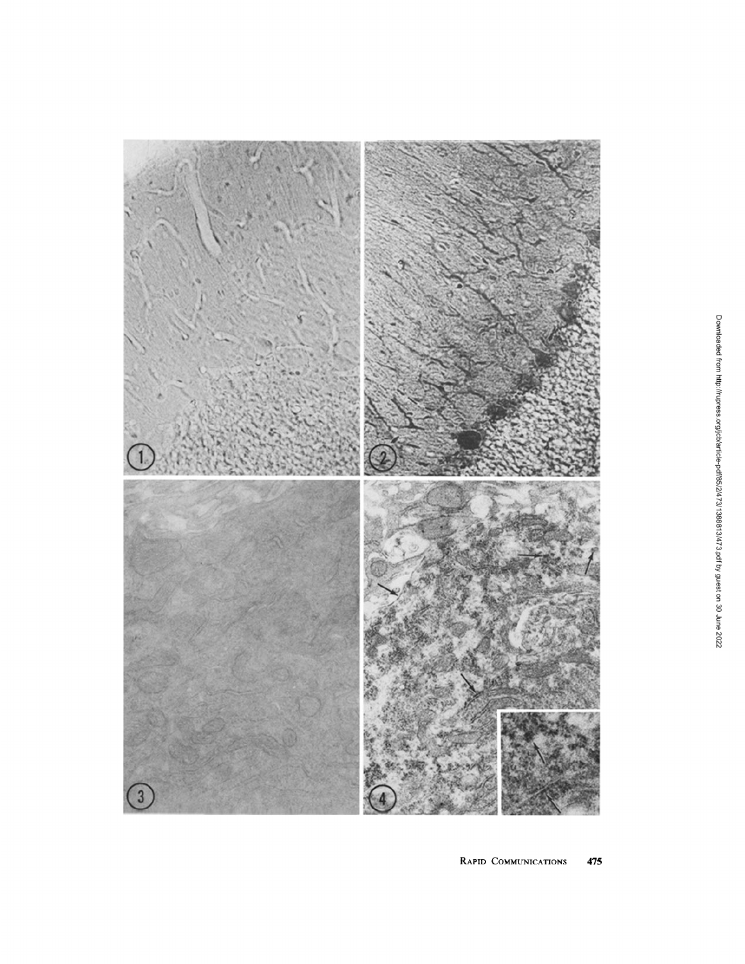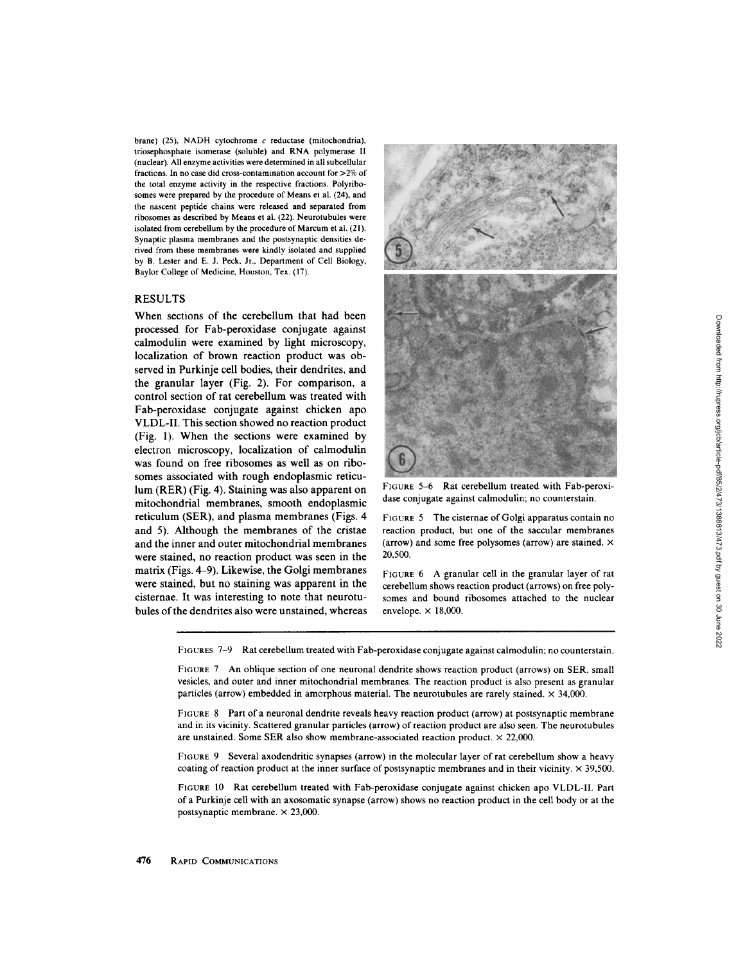brane) (25), NADH cytochrome  $c$  reductase (mitochondria), triosephosphate isomerase (soluble) and RNA polymerase <sup>11</sup> (nuclear) . Allenzyme activities were determined in all subcellular fractions . In no case did cross-contamination account for >2% of the total enzyme activity in the respective fractions. Polyribosomes were prepared by the procedure of Means et al. (24), and the nascent peptide chains were released and separated from ribosomes as described by Means et al. (22). Neurotubules were isolated from cerebellum by the procedure of Marcum et al. (21). Synaptic plasma membranes and the postsynaptic densities derived from these membranes were kindly isolated and supplied by B. Lester and E. J. Peck, Jr., Department of Cell Biology, Baylor College of Medicine, Houston, Tex. (17).

#### RESULTS

When sections of the cerebellum that had been processed for Fab-peroxidase conjugate against calmodulin were examined by light microscopy, localization of brown reaction product was observed in Purkinje cell bodies, their dendrites, and the granular layer (Fig. 2). For comparison, a control section of rat cerebellum was treated with Fab-peroxidase conjugate against chicken apo VLDL-II. This section showed no reaction product (Fig. 1) . When the sections were examined by electron microscopy, localization of calmodulin was found on free ribosomes as well as on ribosomes associated with rough endoplasmic reticulum(RER) (Fig. 4) . Staining was also apparent on mitochondrial membranes, smooth endoplasmic reticulum (SER), and plasma membranes (Figs. 4 and 5). Although the membranes of the cristae and the inner and outer mitochondrial membranes were stained, no reaction product was seen in the matrix (Figs. 4-9). Likewise, the Golgi membranes were stained, but no staining was apparent in the cisternae. It was interesting to note that neurotubules of the dendrites also were unstained, whereas



dase conjugate against calmodulin; no counterstain.

FIGURE <sup>5</sup> The cisternae of Golgi apparatus contain no reaction product, but one of the saccular membranes (arrow) and some free polysomes (arrow) are stained.  $\times$ 20,500.

FIGURE <sup>6</sup> A granular cell in the granular layer of rat cerebellum shows reaction product (arrows) on free polysomes and bound ribosomes attached to the nuclear envelope.  $\times$  18,000.

FIGURES 7-9 Rat cerebellum treated with Fab-peroxidase conjugate against calmodulin; no counterstain .

FIGURE 7 An oblique section of one neuronal dendrite shows reaction product (arrows) on SER, small vesicles, and outer and inner mitochondrial membranes The reaction product is also present as granular particles (arrow) embedded in amorphous material. The neurotubules are rarely stained.  $\times$  34,000.

FIGURE 8 Part of a neuronal dendrite reveals heavy reaction product (arrow) at postsynaptic membrane and in its vicinity . Scattered granular particles (arrow) of reaction product are also seen . The neurotubules are unstained. Some SER also show membrane-associated reaction product.  $\times$  22,000.

FIGURE 9 Several axodendritic synapses (arrow) in the molecular layer of rat cerebellum show a heavy coating of reaction product at the inner surface of postsynaptic membranes and in their vicinity.  $\times$  39,500.

FIGURE <sup>10</sup> Rat cerebellum treated with Fab-peroxidase conjugate against chicken apo VLDL-II Part of a Purkinje cell with an axosomatic synapse (arrow) shows no reaction product in the cell body or at the postsynaptic membrane.  $\times$  23,000.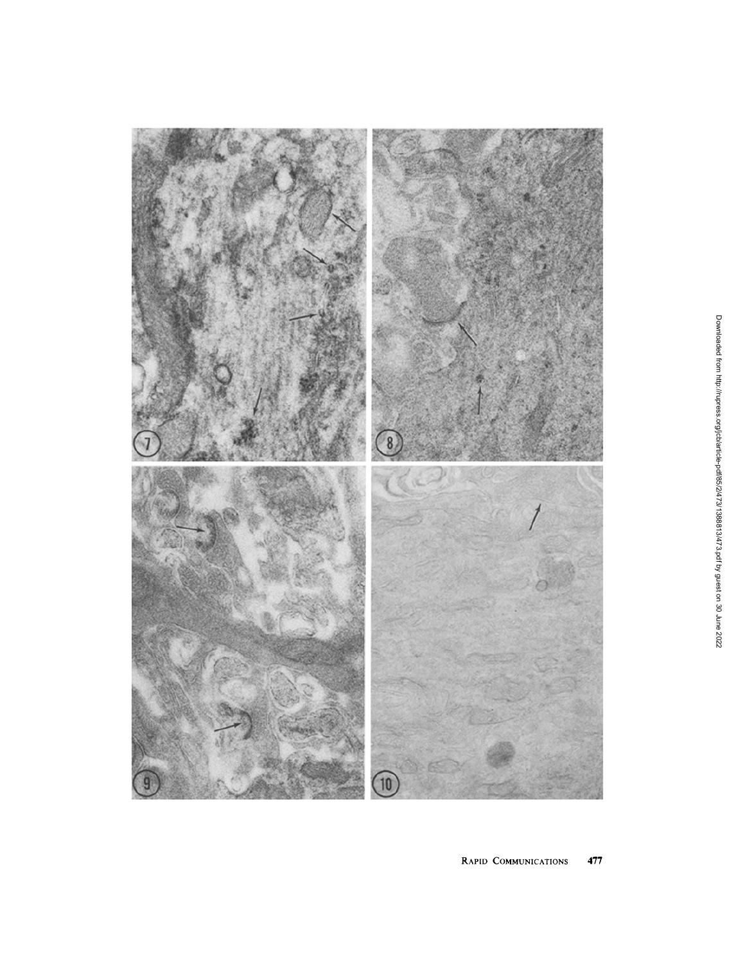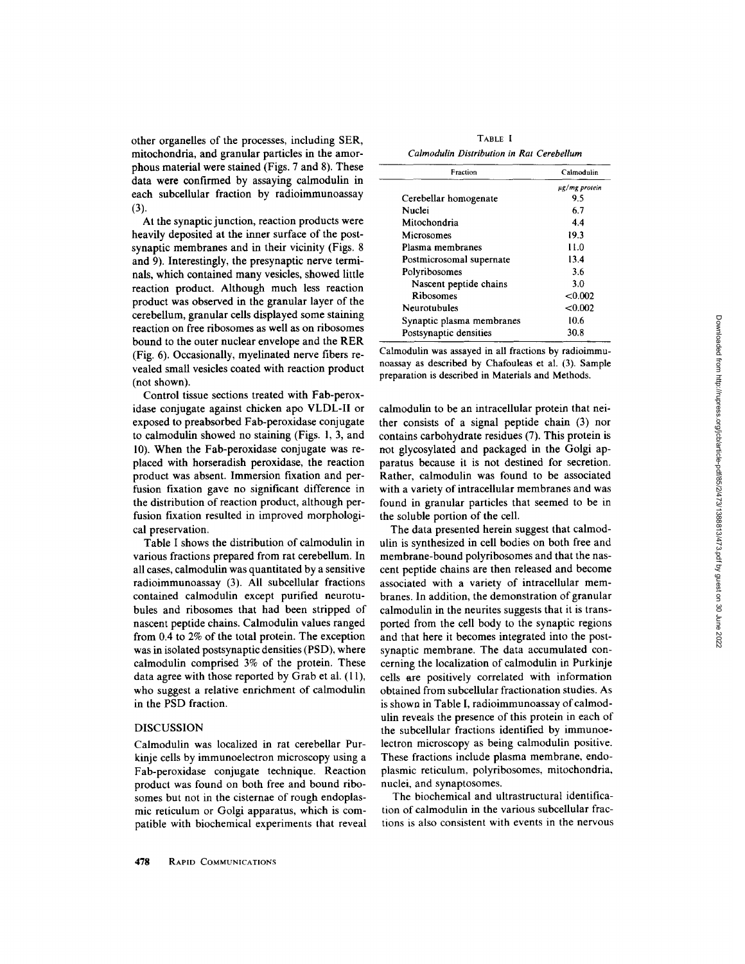2022

other organelles of the processes, including SER, mitochondria, and granular particles in the amorphous material were stained (Figs. 7 and 8). These data were confirmed by assaying calmodulin in each subcellular fraction by radioimmunoassay (3).

At the synaptic junction, reaction products were heavily deposited at the inner surface of the postsynaptic membranes and in their vicinity (Figs. 8 and 9). Interestingly, the presynaptic nerve terminals, which contained many vesicles, showed little reaction product. Although much less reaction product was observed in the granular layer of the cerebellum, granular cells displayed some staining reaction on free ribosomes as well as on ribosomes bound to the outer nuclear envelope and the RER (Fig. 6). Occasionally, myelinated nerve fibers revealed small vesicles coated with reaction product (not shown).

Control tissue sections treated with Fab-peroxidase conjugate against chicken apo VLDL-II or exposed to preabsorbed Fab-peroxidase conjugate to calmodulin showed no staining (Figs. 1, 3, and 10). When the Fab-peroxidase conjugate was replaced with horseradish peroxidase, the reaction product was absent. Immersion fixation and perfusion fixation gave no significant difference in the distribution of reaction product, although perfusion fixation resulted in improved morphological preservation.

Table <sup>I</sup> shows the distribution of calmodulin in various fractions prepared from rat cerebellum. In all cases, calmodulin was quantitated by a sensitive radioimmunoassay (3). All subcellular fractions contained calmodulin except purified neurotubules and ribosomes that had been stripped of nascent peptide chains . Calmodulin values ranged from 0.4 to 2% of the total protein. The exception was in isolated postsynaptic densities (PSD), where calmodulin comprised 3% of the protein. These data agree with those reported by Grab et al. (11), who suggest a relative enrichment of calmodulin in the PSD fraction.

### DISCUSSION

Calmodulin was localized in rat cerebellar Purkinje cells by immunoelectron microscopy using a Fab-peroxidase conjugate technique. Reaction product was found on both free and bound ribosomes but not in the cisternae of rough endoplasmic reticulum or Golgi apparatus, which is compatible with biochemical experiments that reveal

TABLE <sup>I</sup> Calmodulin Distribution in Rat Cerebellum

| Fraction                  | Calmodulin    |
|---------------------------|---------------|
|                           | µg/mg protein |
| Cerebellar homogenate     | 9.5           |
| Nuclei                    | 6.7           |
| Mitochondria              | 4.4           |
| Microsomes                | 19.3          |
| Plasma membranes          | 11.0          |
| Postmicrosomal supernate  | 13.4          |
| Polyribosomes             | 3.6           |
| Nascent peptide chains    | 3.0           |
| Ribosomes                 | < 0.002       |
| Neurotubules              | < 0.002       |
| Synaptic plasma membranes | 10.6          |
| Postsynaptic densities    | 30.8          |

Calmodulin was assayed in all fractions by radioimmunoassay as described by Chafouleas et al. (3) . Sample preparation is described in Materials and Methods.

calmodulin to be an intracellular protein that neither consists of <sup>a</sup> signal peptide chain (3) nor contains carbohydrate residues (7). This protein is not glycosylated and packaged in the Golgi apparatus because it is not destined for secretion. Rather, calmodulin was found to be associated with <sup>a</sup> variety of intracellular membranes and was found in granular particles that seemed to be in the soluble portion of the cell.

The data presented herein suggest that calmodulin is synthesized in cell bodies on both free and membrane-bound polyribosomes and that the nascent peptide chains are then released and become associated with a variety of intracellular membranes. In addition, the demonstration of granular calmodulin in the neurites suggests that it is transported from the cell body to the synaptic regions and that here it becomes integrated into the postsynaptic membrane. The data accumulated concerning the localization of calmodulin in Purkinje cells are positively correlated with information obtained from subcellular fractionation studies. As is shown in Table I, radioimmunoassay of calmodulin reveals the presence of this protein in each of the subcellular fractions identified by immunoelectron microscopy as being calmodulin positive. These fractions include plasma membrane, endoplasmic reticulum, polyribosomes, mitochondria, nuclei, and synaptosomes.

The biochemical and ultrastructural identification of calmodulin in the various subcellular fractions is also consistent with events in the nervous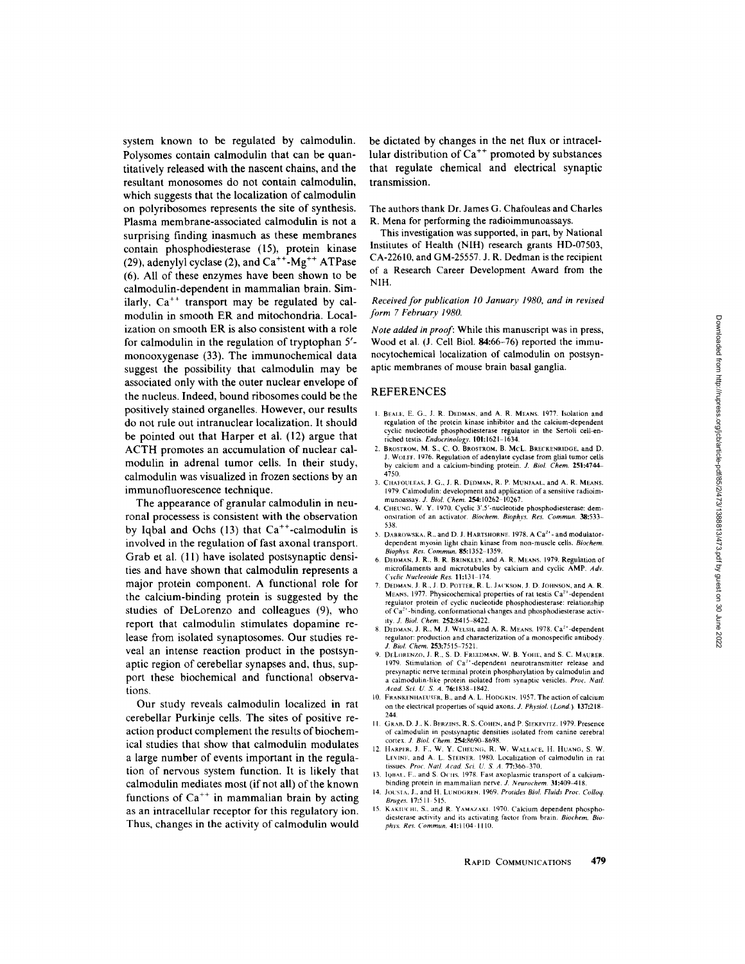2022

system known to be regulated by calmodulin . Polysomes contain calmodulin that can be quantitatively released with the nascent chains, and the resultant monosomes do not contain calmodulin, which suggests that the localization of calmodulin on polyribosomes represents the site of synthesis . Plasma membrane-associated calmodulin is not a surprising finding inasmuch as these membranes contain phosphodiesterase (15), protein kinase (29), adenylyl cyclase (2), and  $Ca^{++}$ -Mg<sup>++</sup> ATPase (6) . All of these enzymes have been shown to be calmodulin-dependent in mammalian brain . Similarly,  $Ca^{++}$  transport may be regulated by calmodulin in smooth ER and mitochondria. Localization on smooth ER is also consistent with a role for calmodulin in the regulation of tryptophan <sup>5</sup>' monooxygenase (33) . The immunochemical data suggest the possibility that calmodulin may be associated only with the outer nuclear envelope of the nucleus . Indeed, bound ribosomes could be the positively stained organelles . However, our results do not rule out intranuclear localization . It should be pointed out that Harper et al . (12) argue that ACTH promotes an accumulation of nuclear calmodulin in adrenal tumor cells. In their study, calmodulin was visualized in frozen sections by an immunofluorescence technique .

The appearance of granular calmodulin in neuronal processess is consistent with the observation by Iqbal and Ochs  $(13)$  that  $Ca^{++}$ -calmodulin is involved in the regulation of fast axonal transport . Grab et al . (11) have isolated postsynaptic densities and have shown that calmodulin represents a major protein component . A functional role for the calcium-binding protein is suggested by the studies of DeLorenzo and colleagues (9), who report that calmodulin stimulates dopamine release from isolated synaptosomes. Our studies reveal an intense reaction product in the postsynaptic region of cerebellar synapses and, thus, support these biochemical and functional observations.

Our study reveals calmodulin localized in rat cerebellar Purkinje cells . The sites of positive reaction product complement the results of biochemical studies that show that calmodulin modulates <sup>a</sup> large number of events important in the regulation of nervous system function . It is likely that calmodulin mediates most (if not all) of the known functions of  $Ca^{++}$  in mammalian brain by acting as an intracellular receptor for this regulatory ion . Thus, changes in the activity of calmodulin would

be dictated by changes in the net flux or intracellular distribution of  $Ca^{++}$  promoted by substances that regulate chemical and electrical synaptic transmission

The authors thank Dr . James G . Chafouleas and Charles R . Mena for performing the radioimmunoassays .

This investigation was supported, in part, by National Institutes of Health (NIH) research grants HD-07503, CA-22610, and GM-25557 . J . R. Dedman is the recipient of a Research Career Development Award from the NIH .

# Received for publication 10 January 1980, and in revised form 7 February 1980 .

Note added in proof: While this manuscript was in press. Wood et al. (J. Cell Biol. 84:66-76) reported the immunocytochemical localization of calmodulin on postsynaptic membranes of mouse brain basal ganglia.

## REFERENCES

- 1. BEALE, E. G., J. R. DEDMAN, and A. R. MEANS. 1977 BEALE, E. G., J. R. DEDMAN, and A. R. MEANS. 1977. Isolation and<br>regulation of the protein kinase inhibitor and the calcium-dependent cyclic nucleotide phosphodiesterase regulator in the Sertoli cell-enriched testis. Endocrinology. 101:1621-1634.
- 2. BROSTROM, M. S., C., O. BROSTROM, B. MCL. BRECKENRIDGE, and D.<br>1. West r. 1976. Beculation of edenyints evidence from elial tumor cells . . 1 . WOLFF <sup>1976</sup> Regulation of adenylate cyclase from ghal tumor cells by calcium and a calcium-binding protein. J. Biol. Chem. 251:4744-
- 4750.<br>3. Chafouleas, J. G., J. R. Dedman, R. P. Muniaal, and A. R. Means. 1979. Calmodulin: development and application of a sensitive radioimmunoassay. J. Biol. Chem. 254:10262-10267
- munoassay, J. Biol. Chem. 254:10262-10267.<br>4. CHEUNG, W. Y. 1970, Cyclic 3',5'-nucleotide phosphodiesterase: dem-<br>0. Courses 200522. onstration of an activator. Biochem. Biophys. Res. Commun. 38:533-538.
- 538.<br>DABROWSKA, R., and D. J. HARTSHORNE. 1978. A Ca<sup>2+</sup>- and modulator-5 dependent myosin light chain kinase from non-muscle cells. Biochem. Biophys. Res. Commun. **85:**1352-1359.
- 6. DEDMAN, J. R., B. R. BRINKLEY, and A. R. MEANS. 1979. Regulation of microfilaments and microtubules by calcium and cyclic AMP. Adv. Cyclic Nucleotide Res . 11 :131-174
- 7. DEDMAN, J. R., J. D. POTTER, R. L. JACKSON, J. D. JOHNSON, and A. R. MEANS. 1977. Physicochemical properties of rat testis Ca<sup>21</sup>-dependent regulator protein of cyclic nucleotide phosphodiesterase : relationship of Ca<sup>-</sup>'-binding, conformational changes and phosphodiesterase activity J. Biol. Chem 252:8415-8422
- 8. DEDMAN, J. R., M. J. WELSH, and A. R. MEANS. 1978. Ca<sup>2+</sup>-dependent regulator : production and characterization of a monospecific antibody J. Biol. Chem. 253:7515-7521.
- 9 . DELORENZO, J. R., S. D. FREDMAN, W. B. YOHE, and S. C. MAURER.<br>1970 Stimulation of Co<sup>2+</sup> dependent nounctenermitter release and 1979 . Stimulatio n of Ca -'-dependent neurotransmitter release and
- presynaptic nerve terminal protein phosphorylation by calmodulin-and a calmodulin-like protein isolated from synaptic vesicles. *Proc. Natl.* A cad. Sci. U. S. A. 76:1838-1842.<br>FRANKENHAEUSER, B., and A. L. HODGKIN. 1957. 10 . FRANKFNHATUSER, B., and A L HODGKIN 1957 . Th e action ofealcium on the electrical properties of squid axons .  $244.$
- 11. GRAB, D. J., K. BERZINS, R. S. COHEN, and P. SIEKEVITZ. 1979. Presence of calmodulin in postsynaptic densities isolated from canine cerebral cortex. J. Biol. Chem. 254:8690-8698.
- 12. HARPER, J. F., W. Y. CHEUNG, R. W. WALLACE, H. HUANG, S. W. LEVINF, and A. L. STEINER. 1980. Localization of calmodulin in ratissues. *Proc. Natl. Acad. Sci. U. S. A.* 77:366-370.
- 13. IQBAL, F., and S. OCHS, 1978. Fast axoplasmic transport of a calciumbinding protein in mammalian nerve. J. Neurochem. 31:409-418.
- 14. JOUSTA, J., and H. LUNDGREN. 1969. Protides Biol. Fluids Proc. Colloq. Bruges. 17:511-515.
- 15. KAKIUCHI, S., and R. YAMAZAKI. 1970. Calcium dependent phosphodiesterase activity and its activating factor from brain. Biochem. Bio-<br>phys. Res. Commun. 41:1104-1110. binding protein in manimiana head<br>Jousta, J., and H. Lundgren, 19<br>Bruges. 17:511-515.<br>KAKIUCHU, S., and R. YAMAZAKI.<br>diesterase activity and its activation<br>phys. Res. Commun. 41:1104-1110